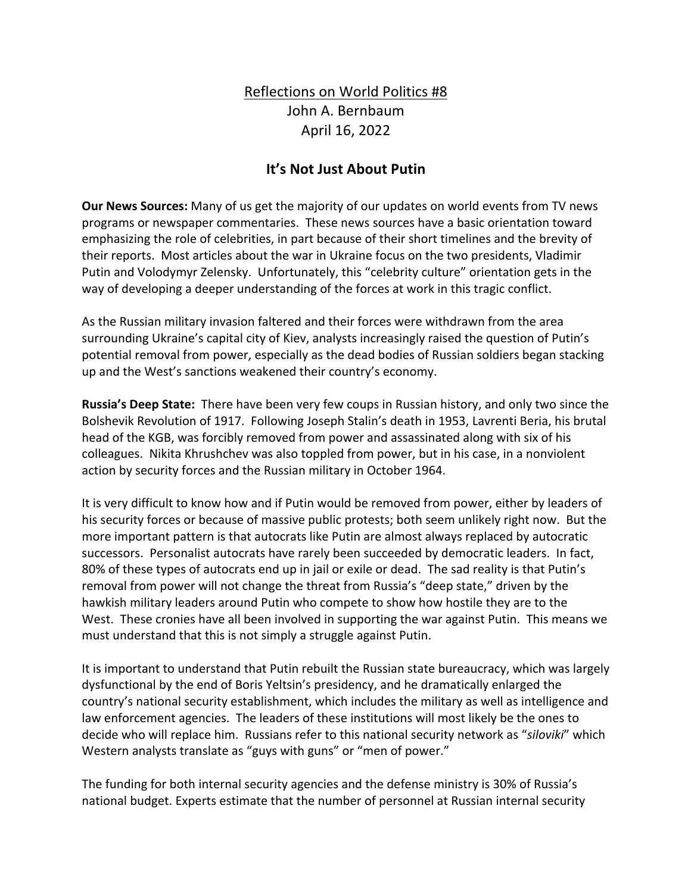## Reflections on World Politics #8 John A. Bernbaum April 16, 2022

## **It's Not Just About Putin**

**Our News Sources:** Many of us get the majority of our updates on world events from TV news programs or newspaper commentaries. These news sources have a basic orientation toward emphasizing the role of celebrities, in part because of their short timelines and the brevity of their reports. Most articles about the war in Ukraine focus on the two presidents, Vladimir Putin and Volodymyr Zelensky. Unfortunately, this "celebrity culture" orientation gets in the way of developing a deeper understanding of the forces at work in this tragic conflict.

As the Russian military invasion faltered and their forces were withdrawn from the area surrounding Ukraine's capital city of Kiev, analysts increasingly raised the question of Putin's potential removal from power, especially as the dead bodies of Russian soldiers began stacking up and the West's sanctions weakened their country's economy.

**Russia's Deep State:** There have been very few coups in Russian history, and only two since the Bolshevik Revolution of 1917. Following Joseph Stalin's death in 1953, Lavrenti Beria, his brutal head of the KGB, was forcibly removed from power and assassinated along with six of his colleagues. Nikita Khrushchev was also toppled from power, but in his case, in a nonviolent action by security forces and the Russian military in October 1964.

It is very difficult to know how and if Putin would be removed from power, either by leaders of his security forces or because of massive public protests; both seem unlikely right now. But the more important pattern is that autocrats like Putin are almost always replaced by autocratic successors. Personalist autocrats have rarely been succeeded by democratic leaders. In fact, 80% of these types of autocrats end up in jail or exile or dead. The sad reality is that Putin's removal from power will not change the threat from Russia's "deep state," driven by the hawkish military leaders around Putin who compete to show how hostile they are to the West. These cronies have all been involved in supporting the war against Putin. This means we must understand that this is not simply a struggle against Putin.

It is important to understand that Putin rebuilt the Russian state bureaucracy, which was largely dysfunctional by the end of Boris Yeltsin's presidency, and he dramatically enlarged the country's national security establishment, which includes the military as well as intelligence and law enforcement agencies. The leaders of these institutions will most likely be the ones to decide who will replace him. Russians refer to this national security network as "*siloviki*" which Western analysts translate as "guys with guns" or "men of power."

The funding for both internal security agencies and the defense ministry is 30% of Russia's national budget. Experts estimate that the number of personnel at Russian internal security